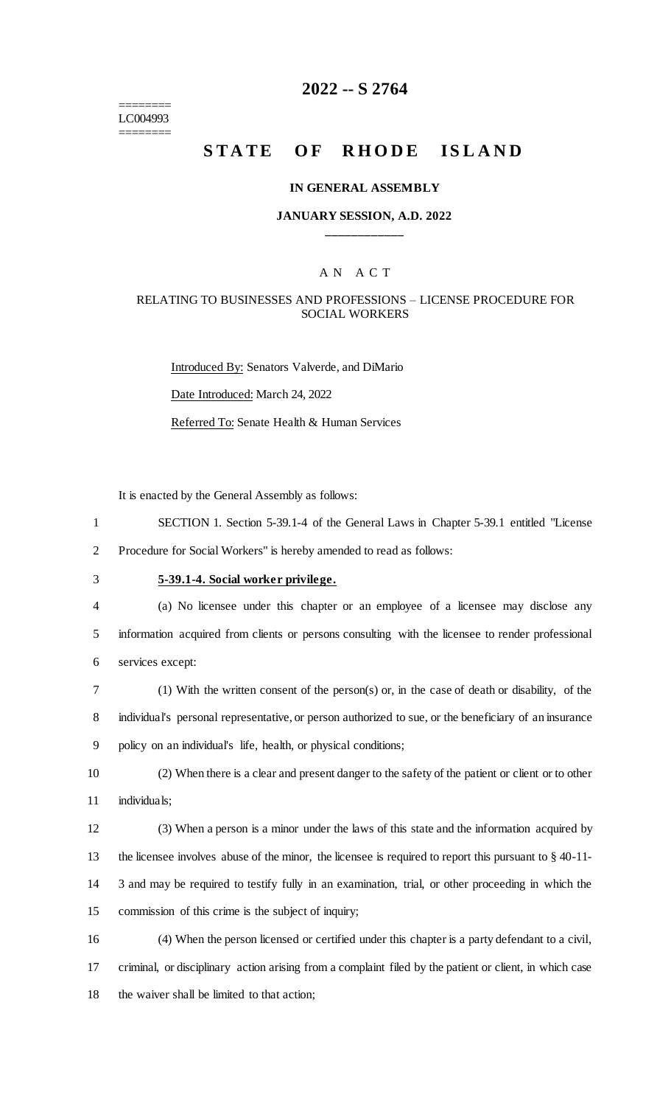======== LC004993 ========

### **2022 -- S 2764**

# **STATE OF RHODE ISLAND**

#### **IN GENERAL ASSEMBLY**

#### **JANUARY SESSION, A.D. 2022 \_\_\_\_\_\_\_\_\_\_\_\_**

### A N A C T

#### RELATING TO BUSINESSES AND PROFESSIONS – LICENSE PROCEDURE FOR SOCIAL WORKERS

Introduced By: Senators Valverde, and DiMario Date Introduced: March 24, 2022 Referred To: Senate Health & Human Services

It is enacted by the General Assembly as follows:

1 SECTION 1. Section 5-39.1-4 of the General Laws in Chapter 5-39.1 entitled "License

2 Procedure for Social Workers" is hereby amended to read as follows:

# 3 **5-39.1-4. Social worker privilege.**

- 4 (a) No licensee under this chapter or an employee of a licensee may disclose any 5 information acquired from clients or persons consulting with the licensee to render professional 6 services except:
- 7 (1) With the written consent of the person(s) or, in the case of death or disability, of the 8 individual's personal representative, or person authorized to sue, or the beneficiary of an insurance 9 policy on an individual's life, health, or physical conditions;
- 10 (2) When there is a clear and present danger to the safety of the patient or client or to other 11 individuals;
- 12 (3) When a person is a minor under the laws of this state and the information acquired by 13 the licensee involves abuse of the minor, the licensee is required to report this pursuant to § 40-11- 14 3 and may be required to testify fully in an examination, trial, or other proceeding in which the 15 commission of this crime is the subject of inquiry;
- 16 (4) When the person licensed or certified under this chapter is a party defendant to a civil, 17 criminal, or disciplinary action arising from a complaint filed by the patient or client, in which case 18 the waiver shall be limited to that action;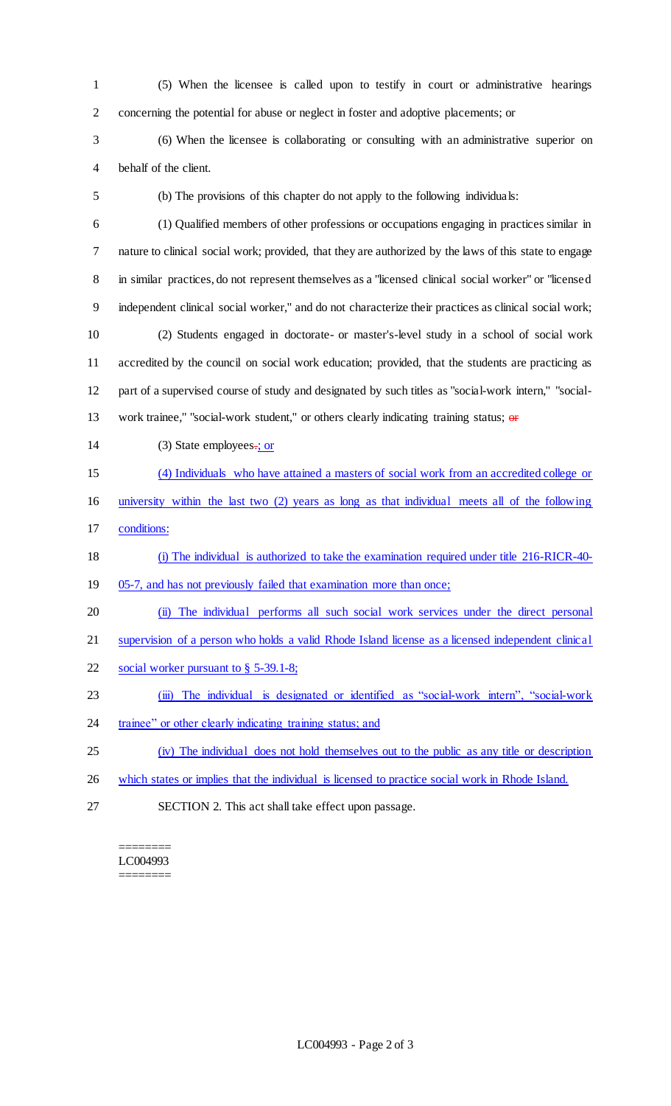(5) When the licensee is called upon to testify in court or administrative hearings concerning the potential for abuse or neglect in foster and adoptive placements; or

 (6) When the licensee is collaborating or consulting with an administrative superior on behalf of the client.

(b) The provisions of this chapter do not apply to the following individuals:

 (1) Qualified members of other professions or occupations engaging in practices similar in nature to clinical social work; provided, that they are authorized by the laws of this state to engage in similar practices, do not represent themselves as a "licensed clinical social worker" or "licensed independent clinical social worker," and do not characterize their practices as clinical social work; (2) Students engaged in doctorate- or master's-level study in a school of social work accredited by the council on social work education; provided, that the students are practicing as part of a supervised course of study and designated by such titles as "social-work intern," "social-13 work trainee," "social-work student," or others clearly indicating training status; or

14 (3) State employees.; or

(4) Individuals who have attained a masters of social work from an accredited college or

 university within the last two (2) years as long as that individual meets all of the following conditions:

### (i) The individual is authorized to take the examination required under title 216-RICR-40-

- 19 05-7, and has not previously failed that examination more than once;
- (ii) The individual performs all such social work services under the direct personal

supervision of a person who holds a valid Rhode Island license as a licensed independent clinical

- social worker pursuant to § 5-39.1-8;
- (iii) The individual is designated or identified as "social-work intern", "social-work
- 24 trainee" or other clearly indicating training status; and
- (iv) The individual does not hold themselves out to the public as any title or description
- which states or implies that the individual is licensed to practice social work in Rhode Island.
- SECTION 2. This act shall take effect upon passage.

======== LC004993 ========